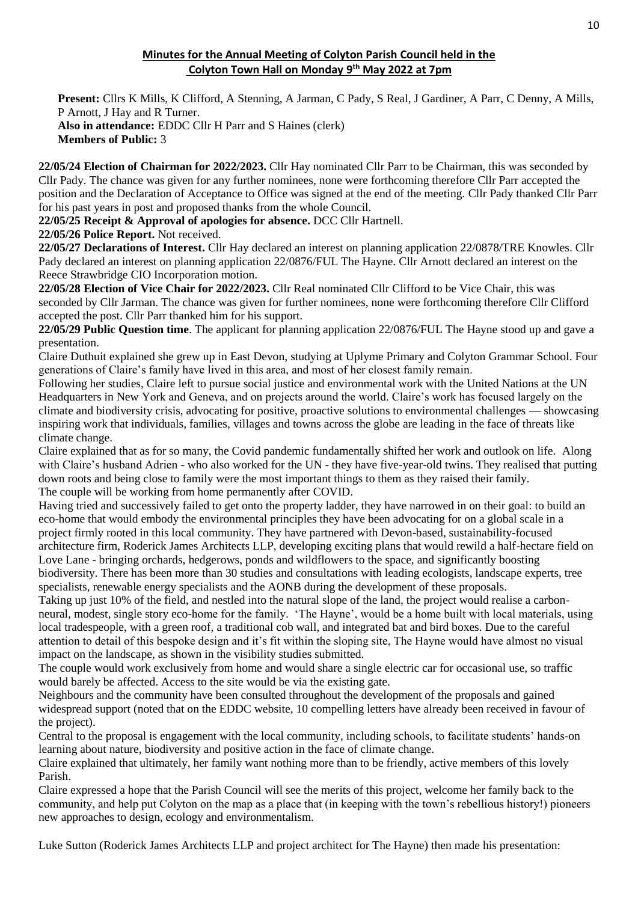# **Minutes for the Annual Meeting of Colyton Parish Council held in the Colyton Town Hall on Monday 9 th May 2022 at 7pm**

**Present:** Cllrs K Mills, K Clifford, A Stenning, A Jarman, C Pady, S Real, J Gardiner, A Parr, C Denny, A Mills, P Arnott, J Hay and R Turner. **Also in attendance:** EDDC Cllr H Parr and S Haines (clerk) **Members of Public:** 3

**22/05/24 Election of Chairman for 2022/2023.** Cllr Hay nominated Cllr Parr to be Chairman, this was seconded by Cllr Pady. The chance was given for any further nominees, none were forthcoming therefore Cllr Parr accepted the position and the Declaration of Acceptance to Office was signed at the end of the meeting. Cllr Pady thanked Cllr Parr for his past years in post and proposed thanks from the whole Council.

**22/05/25 Receipt & Approval of apologies for absence.** DCC Cllr Hartnell.

**22/05/26 Police Report.** Not received.

**22/05/27 Declarations of Interest.** Cllr Hay declared an interest on planning application 22/0878/TRE Knowles. Cllr Pady declared an interest on planning application 22/0876/FUL The Hayne. Cllr Arnott declared an interest on the Reece Strawbridge CIO Incorporation motion.

**22/05/28 Election of Vice Chair for 2022/2023.** Cllr Real nominated Cllr Clifford to be Vice Chair, this was seconded by Cllr Jarman. The chance was given for further nominees, none were forthcoming therefore Cllr Clifford accepted the post. Cllr Parr thanked him for his support.

**22/05/29 Public Question time**. The applicant for planning application 22/0876/FUL The Hayne stood up and gave a presentation.

Claire Duthuit explained she grew up in East Devon, studying at Uplyme Primary and Colyton Grammar School. Four generations of Claire's family have lived in this area, and most of her closest family remain.

Following her studies, Claire left to pursue social justice and environmental work with the United Nations at the UN Headquarters in New York and Geneva, and on projects around the world. Claire's work has focused largely on the climate and biodiversity crisis, advocating for positive, proactive solutions to environmental challenges — showcasing inspiring work that individuals, families, villages and towns across the globe are leading in the face of threats like climate change.

Claire explained that as for so many, the Covid pandemic fundamentally shifted her work and outlook on life. Along with Claire's husband Adrien - who also worked for the UN - they have five-year-old twins. They realised that putting down roots and being close to family were the most important things to them as they raised their family. The couple will be working from home permanently after COVID.

Having tried and successively failed to get onto the property ladder, they have narrowed in on their goal: to build an eco-home that would embody the environmental principles they have been advocating for on a global scale in a project firmly rooted in this local community. They have partnered with Devon-based, sustainability-focused architecture firm, Roderick James Architects LLP, developing exciting plans that would rewild a half-hectare field on Love Lane - bringing orchards, hedgerows, ponds and wildflowers to the space, and significantly boosting biodiversity. There has been more than 30 studies and consultations with leading ecologists, landscape experts, tree specialists, renewable energy specialists and the AONB during the development of these proposals.

Taking up just 10% of the field, and nestled into the natural slope of the land, the project would realise a carbonneural, modest, single story eco-home for the family. 'The Hayne', would be a home built with local materials, using local tradespeople, with a green roof, a traditional cob wall, and integrated bat and bird boxes. Due to the careful attention to detail of this bespoke design and it's fit within the sloping site, The Hayne would have almost no visual impact on the landscape, as shown in the visibility studies submitted.

The couple would work exclusively from home and would share a single electric car for occasional use, so traffic would barely be affected. Access to the site would be via the existing gate.

Neighbours and the community have been consulted throughout the development of the proposals and gained widespread support (noted that on the EDDC website, 10 compelling letters have already been received in favour of the project).

Central to the proposal is engagement with the local community, including schools, to facilitate students' hands-on learning about nature, biodiversity and positive action in the face of climate change.

Claire explained that ultimately, her family want nothing more than to be friendly, active members of this lovely Parish.

Claire expressed a hope that the Parish Council will see the merits of this project, welcome her family back to the community, and help put Colyton on the map as a place that (in keeping with the town's rebellious history!) pioneers new approaches to design, ecology and environmentalism.

Luke Sutton (Roderick James Architects LLP and project architect for The Hayne) then made his presentation: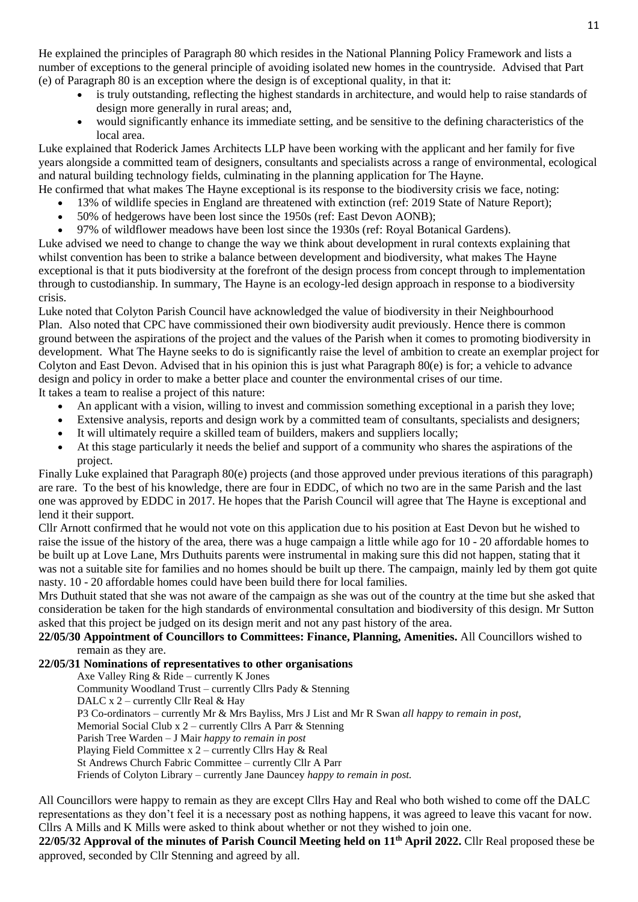He explained the principles of Paragraph 80 which resides in the National Planning Policy Framework and lists a number of exceptions to the general principle of avoiding isolated new homes in the countryside. Advised that Part (e) of Paragraph 80 is an exception where the design is of exceptional quality, in that it:

- is truly outstanding, reflecting the highest standards in architecture, and would help to raise standards of design more generally in rural areas; and,
- would significantly enhance its immediate setting, and be sensitive to the defining characteristics of the local area.

Luke explained that Roderick James Architects LLP have been working with the applicant and her family for five years alongside a committed team of designers, consultants and specialists across a range of environmental, ecological and natural building technology fields, culminating in the planning application for The Hayne.

- He confirmed that what makes The Hayne exceptional is its response to the biodiversity crisis we face, noting:
	- 13% of wildlife species in England are threatened with extinction (ref: 2019 State of Nature Report);
	- 50% of hedgerows have been lost since the 1950s (ref: East Devon AONB);

 97% of wildflower meadows have been lost since the 1930s (ref: Royal Botanical Gardens). Luke advised we need to change to change the way we think about development in rural contexts explaining that whilst convention has been to strike a balance between development and biodiversity, what makes The Hayne exceptional is that it puts biodiversity at the forefront of the design process from concept through to implementation through to custodianship. In summary, The Hayne is an ecology-led design approach in response to a biodiversity crisis.

Luke noted that Colyton Parish Council have acknowledged the value of biodiversity in their Neighbourhood Plan. Also noted that CPC have commissioned their own biodiversity audit previously. Hence there is common ground between the aspirations of the project and the values of the Parish when it comes to promoting biodiversity in development. What The Hayne seeks to do is significantly raise the level of ambition to create an exemplar project for Colyton and East Devon. Advised that in his opinion this is just what Paragraph 80(e) is for; a vehicle to advance design and policy in order to make a better place and counter the environmental crises of our time. It takes a team to realise a project of this nature:

- An applicant with a vision, willing to invest and commission something exceptional in a parish they love;
- Extensive analysis, reports and design work by a committed team of consultants, specialists and designers;
- It will ultimately require a skilled team of builders, makers and suppliers locally;
- At this stage particularly it needs the belief and support of a community who shares the aspirations of the project.

Finally Luke explained that Paragraph 80(e) projects (and those approved under previous iterations of this paragraph) are rare. To the best of his knowledge, there are four in EDDC, of which no two are in the same Parish and the last one was approved by EDDC in 2017. He hopes that the Parish Council will agree that The Hayne is exceptional and lend it their support.

Cllr Arnott confirmed that he would not vote on this application due to his position at East Devon but he wished to raise the issue of the history of the area, there was a huge campaign a little while ago for 10 - 20 affordable homes to be built up at Love Lane, Mrs Duthuits parents were instrumental in making sure this did not happen, stating that it was not a suitable site for families and no homes should be built up there. The campaign, mainly led by them got quite nasty. 10 - 20 affordable homes could have been build there for local families.

Mrs Duthuit stated that she was not aware of the campaign as she was out of the country at the time but she asked that consideration be taken for the high standards of environmental consultation and biodiversity of this design. Mr Sutton asked that this project be judged on its design merit and not any past history of the area.

**22/05/30 Appointment of Councillors to Committees: Finance, Planning, Amenities.** All Councillors wished to remain as they are.

# **22/05/31 Nominations of representatives to other organisations**

Axe Valley Ring & Ride – currently K Jones

Community Woodland Trust – currently Cllrs Pady & Stenning DALC  $x$  2 – currently Cllr Real & Hay P3 Co-ordinators – currently Mr & Mrs Bayliss, Mrs J List and Mr R Swan *all happy to remain in post,* Memorial Social Club x 2 – currently Cllrs A Parr & Stenning Parish Tree Warden – J Mair *happy to remain in post* Playing Field Committee x 2 – currently Cllrs Hay & Real St Andrews Church Fabric Committee – currently Cllr A Parr Friends of Colyton Library – currently Jane Dauncey *happy to remain in post.*

All Councillors were happy to remain as they are except Cllrs Hay and Real who both wished to come off the DALC representations as they don't feel it is a necessary post as nothing happens, it was agreed to leave this vacant for now. Cllrs A Mills and K Mills were asked to think about whether or not they wished to join one.

**22/05/32 Approval of the minutes of Parish Council Meeting held on 11th April 2022.** Cllr Real proposed these be approved, seconded by Cllr Stenning and agreed by all.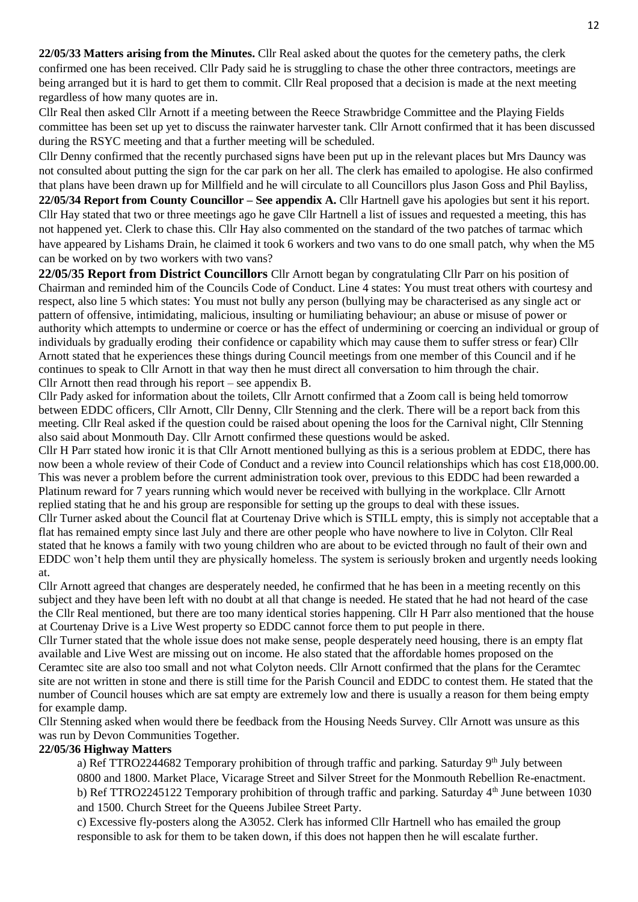**22/05/33 Matters arising from the Minutes.** Cllr Real asked about the quotes for the cemetery paths, the clerk confirmed one has been received. Cllr Pady said he is struggling to chase the other three contractors, meetings are being arranged but it is hard to get them to commit. Cllr Real proposed that a decision is made at the next meeting regardless of how many quotes are in.

Cllr Real then asked Cllr Arnott if a meeting between the Reece Strawbridge Committee and the Playing Fields committee has been set up yet to discuss the rainwater harvester tank. Cllr Arnott confirmed that it has been discussed during the RSYC meeting and that a further meeting will be scheduled.

Cllr Denny confirmed that the recently purchased signs have been put up in the relevant places but Mrs Dauncy was not consulted about putting the sign for the car park on her all. The clerk has emailed to apologise. He also confirmed that plans have been drawn up for Millfield and he will circulate to all Councillors plus Jason Goss and Phil Bayliss,

**22/05/34 Report from County Councillor – See appendix A.** Cllr Hartnell gave his apologies but sent it his report. Cllr Hay stated that two or three meetings ago he gave Cllr Hartnell a list of issues and requested a meeting, this has not happened yet. Clerk to chase this. Cllr Hay also commented on the standard of the two patches of tarmac which have appeared by Lishams Drain, he claimed it took 6 workers and two vans to do one small patch, why when the M5 can be worked on by two workers with two vans?

**22/05/35 Report from District Councillors** Cllr Arnott began by congratulating Cllr Parr on his position of Chairman and reminded him of the Councils Code of Conduct. Line 4 states: You must treat others with courtesy and respect, also line 5 which states: You must not bully any person (bullying may be characterised as any single act or pattern of offensive, intimidating, malicious, insulting or humiliating behaviour; an abuse or misuse of power or authority which attempts to undermine or coerce or has the effect of undermining or coercing an individual or group of individuals by gradually eroding their confidence or capability which may cause them to suffer stress or fear) Cllr Arnott stated that he experiences these things during Council meetings from one member of this Council and if he continues to speak to Cllr Arnott in that way then he must direct all conversation to him through the chair. Cllr Arnott then read through his report – see appendix B.

Cllr Pady asked for information about the toilets, Cllr Arnott confirmed that a Zoom call is being held tomorrow between EDDC officers, Cllr Arnott, Cllr Denny, Cllr Stenning and the clerk. There will be a report back from this meeting. Cllr Real asked if the question could be raised about opening the loos for the Carnival night, Cllr Stenning also said about Monmouth Day. Cllr Arnott confirmed these questions would be asked.

Cllr H Parr stated how ironic it is that Cllr Arnott mentioned bullying as this is a serious problem at EDDC, there has now been a whole review of their Code of Conduct and a review into Council relationships which has cost £18,000.00. This was never a problem before the current administration took over, previous to this EDDC had been rewarded a Platinum reward for 7 years running which would never be received with bullying in the workplace. Cllr Arnott replied stating that he and his group are responsible for setting up the groups to deal with these issues.

Cllr Turner asked about the Council flat at Courtenay Drive which is STILL empty, this is simply not acceptable that a flat has remained empty since last July and there are other people who have nowhere to live in Colyton. Cllr Real stated that he knows a family with two young children who are about to be evicted through no fault of their own and EDDC won't help them until they are physically homeless. The system is seriously broken and urgently needs looking at.

Cllr Arnott agreed that changes are desperately needed, he confirmed that he has been in a meeting recently on this subject and they have been left with no doubt at all that change is needed. He stated that he had not heard of the case the Cllr Real mentioned, but there are too many identical stories happening. Cllr H Parr also mentioned that the house at Courtenay Drive is a Live West property so EDDC cannot force them to put people in there.

Cllr Turner stated that the whole issue does not make sense, people desperately need housing, there is an empty flat available and Live West are missing out on income. He also stated that the affordable homes proposed on the Ceramtec site are also too small and not what Colyton needs. Cllr Arnott confirmed that the plans for the Ceramtec site are not written in stone and there is still time for the Parish Council and EDDC to contest them. He stated that the number of Council houses which are sat empty are extremely low and there is usually a reason for them being empty for example damp.

Cllr Stenning asked when would there be feedback from the Housing Needs Survey. Cllr Arnott was unsure as this was run by Devon Communities Together.

## **22/05/36 Highway Matters**

a) Ref TTRO2244682 Temporary prohibition of through traffic and parking. Saturday 9<sup>th</sup> July between 0800 and 1800. Market Place, Vicarage Street and Silver Street for the Monmouth Rebellion Re-enactment. b) Ref TTRO2245122 Temporary prohibition of through traffic and parking. Saturday 4<sup>th</sup> June between 1030 and 1500. Church Street for the Queens Jubilee Street Party.

c) Excessive fly-posters along the A3052. Clerk has informed Cllr Hartnell who has emailed the group responsible to ask for them to be taken down, if this does not happen then he will escalate further.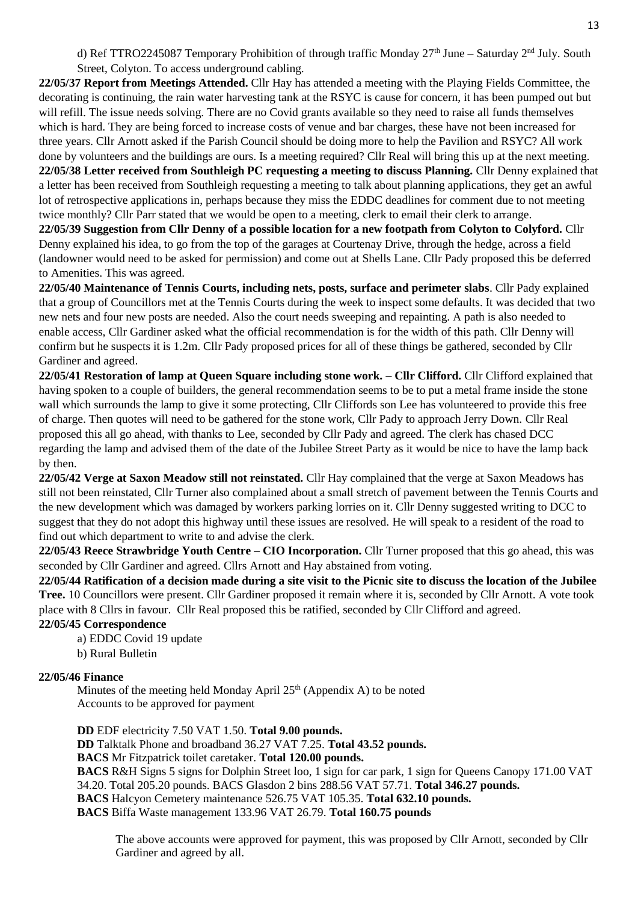d) Ref TTRO2245087 Temporary Prohibition of through traffic Monday  $27<sup>th</sup>$  June – Saturday  $2<sup>nd</sup>$  July. South Street, Colyton. To access underground cabling.

**22/05/37 Report from Meetings Attended.** Cllr Hay has attended a meeting with the Playing Fields Committee, the decorating is continuing, the rain water harvesting tank at the RSYC is cause for concern, it has been pumped out but will refill. The issue needs solving. There are no Covid grants available so they need to raise all funds themselves which is hard. They are being forced to increase costs of venue and bar charges, these have not been increased for three years. Cllr Arnott asked if the Parish Council should be doing more to help the Pavilion and RSYC? All work done by volunteers and the buildings are ours. Is a meeting required? Cllr Real will bring this up at the next meeting. **22/05/38 Letter received from Southleigh PC requesting a meeting to discuss Planning.** Cllr Denny explained that a letter has been received from Southleigh requesting a meeting to talk about planning applications, they get an awful lot of retrospective applications in, perhaps because they miss the EDDC deadlines for comment due to not meeting twice monthly? Cllr Parr stated that we would be open to a meeting, clerk to email their clerk to arrange.

**22/05/39 Suggestion from Cllr Denny of a possible location for a new footpath from Colyton to Colyford.** Cllr Denny explained his idea, to go from the top of the garages at Courtenay Drive, through the hedge, across a field (landowner would need to be asked for permission) and come out at Shells Lane. Cllr Pady proposed this be deferred to Amenities. This was agreed.

**22/05/40 Maintenance of Tennis Courts, including nets, posts, surface and perimeter slabs**. Cllr Pady explained that a group of Councillors met at the Tennis Courts during the week to inspect some defaults. It was decided that two new nets and four new posts are needed. Also the court needs sweeping and repainting. A path is also needed to enable access, Cllr Gardiner asked what the official recommendation is for the width of this path. Cllr Denny will confirm but he suspects it is 1.2m. Cllr Pady proposed prices for all of these things be gathered, seconded by Cllr Gardiner and agreed.

**22/05/41 Restoration of lamp at Queen Square including stone work. – Cllr Clifford.** Cllr Clifford explained that having spoken to a couple of builders, the general recommendation seems to be to put a metal frame inside the stone wall which surrounds the lamp to give it some protecting, Cllr Cliffords son Lee has volunteered to provide this free of charge. Then quotes will need to be gathered for the stone work, Cllr Pady to approach Jerry Down. Cllr Real proposed this all go ahead, with thanks to Lee, seconded by Cllr Pady and agreed. The clerk has chased DCC regarding the lamp and advised them of the date of the Jubilee Street Party as it would be nice to have the lamp back by then.

**22/05/42 Verge at Saxon Meadow still not reinstated.** Cllr Hay complained that the verge at Saxon Meadows has still not been reinstated, Cllr Turner also complained about a small stretch of pavement between the Tennis Courts and the new development which was damaged by workers parking lorries on it. Cllr Denny suggested writing to DCC to suggest that they do not adopt this highway until these issues are resolved. He will speak to a resident of the road to find out which department to write to and advise the clerk.

**22/05/43 Reece Strawbridge Youth Centre – CIO Incorporation.** Cllr Turner proposed that this go ahead, this was seconded by Cllr Gardiner and agreed. Cllrs Arnott and Hay abstained from voting.

**22/05/44 Ratification of a decision made during a site visit to the Picnic site to discuss the location of the Jubilee Tree.** 10 Councillors were present. Cllr Gardiner proposed it remain where it is, seconded by Cllr Arnott. A vote took place with 8 Cllrs in favour. Cllr Real proposed this be ratified, seconded by Cllr Clifford and agreed.

# **22/05/45 Correspondence**

a) EDDC Covid 19 update

b) Rural Bulletin

## **22/05/46 Finance**

Minutes of the meeting held Monday April  $25<sup>th</sup>$  (Appendix A) to be noted Accounts to be approved for payment

**DD** EDF electricity 7.50 VAT 1.50. **Total 9.00 pounds. DD** Talktalk Phone and broadband 36.27 VAT 7.25. **Total 43.52 pounds. BACS** Mr Fitzpatrick toilet caretaker. **Total 120.00 pounds. BACS** R&H Signs 5 signs for Dolphin Street loo, 1 sign for car park, 1 sign for Queens Canopy 171.00 VAT 34.20. Total 205.20 pounds. BACS Glasdon 2 bins 288.56 VAT 57.71. **Total 346.27 pounds. BACS** Halcyon Cemetery maintenance 526.75 VAT 105.35. **Total 632.10 pounds. BACS** Biffa Waste management 133.96 VAT 26.79. **Total 160.75 pounds**

The above accounts were approved for payment, this was proposed by Cllr Arnott, seconded by Cllr Gardiner and agreed by all.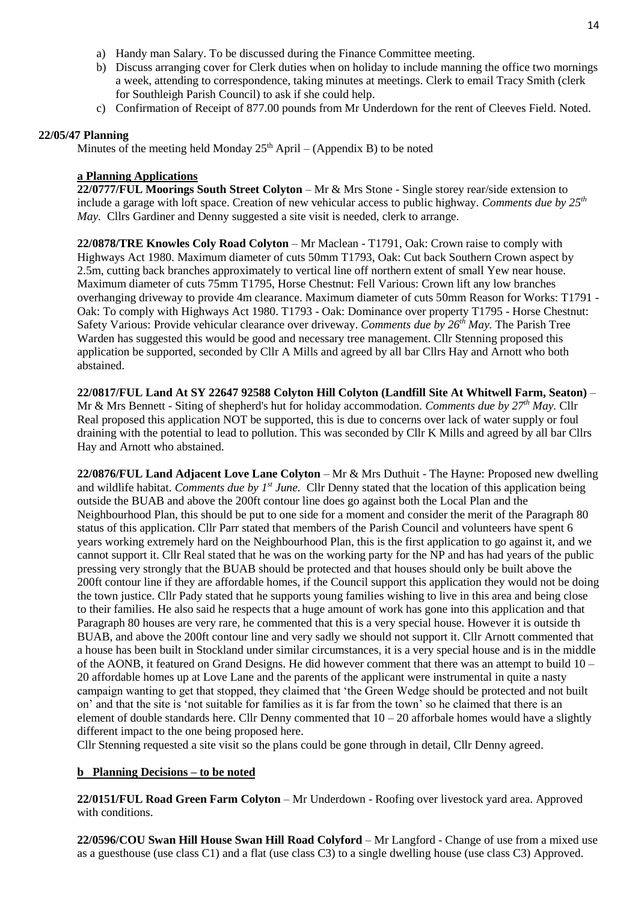- a) Handy man Salary. To be discussed during the Finance Committee meeting.
- b) Discuss arranging cover for Clerk duties when on holiday to include manning the office two mornings a week, attending to correspondence, taking minutes at meetings. Clerk to email Tracy Smith (clerk for Southleigh Parish Council) to ask if she could help.
- c) Confirmation of Receipt of 877.00 pounds from Mr Underdown for the rent of Cleeves Field. Noted.

## **22/05/47 Planning**

Minutes of the meeting held Monday  $25<sup>th</sup>$  April – (Appendix B) to be noted

## **a Planning Applications**

**22/0777/FUL Moorings South Street Colyton** – Mr & Mrs Stone - Single storey rear/side extension to include a garage with loft space. Creation of new vehicular access to public highway. *Comments due by 25th May.* Cllrs Gardiner and Denny suggested a site visit is needed, clerk to arrange.

**22/0878/TRE Knowles Coly Road Colyton** – Mr Maclean - T1791, Oak: Crown raise to comply with Highways Act 1980. Maximum diameter of cuts 50mm T1793, Oak: Cut back Southern Crown aspect by 2.5m, cutting back branches approximately to vertical line off northern extent of small Yew near house. Maximum diameter of cuts 75mm T1795, Horse Chestnut: Fell Various: Crown lift any low branches overhanging driveway to provide 4m clearance. Maximum diameter of cuts 50mm Reason for Works: T1791 - Oak: To comply with Highways Act 1980. T1793 - Oak: Dominance over property T1795 - Horse Chestnut: Safety Various: Provide vehicular clearance over driveway. *Comments due by 26th May.* The Parish Tree Warden has suggested this would be good and necessary tree management. Cllr Stenning proposed this application be supported, seconded by Cllr A Mills and agreed by all bar Cllrs Hay and Arnott who both abstained.

**22/0817/FUL Land At SY 22647 92588 Colyton Hill Colyton (Landfill Site At Whitwell Farm, Seaton)** – Mr & Mrs Bennett - Siting of shepherd's hut for holiday accommodation. *Comments due by 27th May.* Cllr Real proposed this application NOT be supported, this is due to concerns over lack of water supply or foul draining with the potential to lead to pollution. This was seconded by Cllr K Mills and agreed by all bar Cllrs Hay and Arnott who abstained.

**22/0876/FUL Land Adjacent Love Lane Colyton** – Mr & Mrs Duthuit - The Hayne: Proposed new dwelling and wildlife habitat. *Comments due by 1st June.* Cllr Denny stated that the location of this application being outside the BUAB and above the 200ft contour line does go against both the Local Plan and the Neighbourhood Plan, this should be put to one side for a moment and consider the merit of the Paragraph 80 status of this application. Cllr Parr stated that members of the Parish Council and volunteers have spent 6 years working extremely hard on the Neighbourhood Plan, this is the first application to go against it, and we cannot support it. Cllr Real stated that he was on the working party for the NP and has had years of the public pressing very strongly that the BUAB should be protected and that houses should only be built above the 200ft contour line if they are affordable homes, if the Council support this application they would not be doing the town justice. Cllr Pady stated that he supports young families wishing to live in this area and being close to their families. He also said he respects that a huge amount of work has gone into this application and that Paragraph 80 houses are very rare, he commented that this is a very special house. However it is outside th BUAB, and above the 200ft contour line and very sadly we should not support it. Cllr Arnott commented that a house has been built in Stockland under similar circumstances, it is a very special house and is in the middle of the AONB, it featured on Grand Designs. He did however comment that there was an attempt to build 10 – 20 affordable homes up at Love Lane and the parents of the applicant were instrumental in quite a nasty campaign wanting to get that stopped, they claimed that 'the Green Wedge should be protected and not built on' and that the site is 'not suitable for families as it is far from the town' so he claimed that there is an element of double standards here. Cllr Denny commented that  $10 - 20$  afforbale homes would have a slightly different impact to the one being proposed here.

Cllr Stenning requested a site visit so the plans could be gone through in detail, Cllr Denny agreed.

# **b Planning Decisions – to be noted**

**22/0151/FUL Road Green Farm Colyton** – Mr Underdown - Roofing over livestock yard area. Approved with conditions.

**22/0596/COU Swan Hill House Swan Hill Road Colyford** – Mr Langford - Change of use from a mixed use as a guesthouse (use class C1) and a flat (use class C3) to a single dwelling house (use class C3) Approved.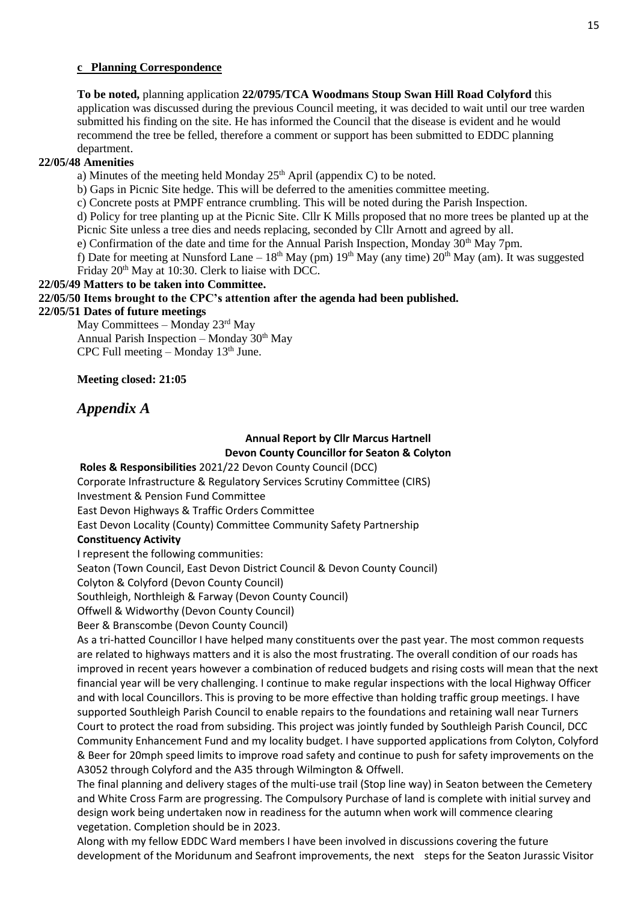## **c Planning Correspondence**

**To be noted,** planning application **22/0795/TCA Woodmans Stoup Swan Hill Road Colyford** this application was discussed during the previous Council meeting, it was decided to wait until our tree warden submitted his finding on the site. He has informed the Council that the disease is evident and he would recommend the tree be felled, therefore a comment or support has been submitted to EDDC planning department.

## **22/05/48 Amenities**

a) Minutes of the meeting held Monday  $25<sup>th</sup>$  April (appendix C) to be noted.

b) Gaps in Picnic Site hedge. This will be deferred to the amenities committee meeting.

c) Concrete posts at PMPF entrance crumbling. This will be noted during the Parish Inspection.

d) Policy for tree planting up at the Picnic Site. Cllr K Mills proposed that no more trees be planted up at the Picnic Site unless a tree dies and needs replacing, seconded by Cllr Arnott and agreed by all.

e) Confirmation of the date and time for the Annual Parish Inspection, Monday 30<sup>th</sup> May 7pm.

f) Date for meeting at Nunsford Lane –  $18<sup>th</sup>$  May (pm)  $19<sup>th</sup>$  May (any time)  $20<sup>th</sup>$  May (am). It was suggested Friday 20<sup>th</sup> May at 10:30. Clerk to liaise with DCC.

## **22/05/49 Matters to be taken into Committee.**

#### **22/05/50 Items brought to the CPC's attention after the agenda had been published.**

#### **22/05/51 Dates of future meetings**

May Committees – Monday 23rd May Annual Parish Inspection – Monday 30th May CPC Full meeting – Monday  $13<sup>th</sup>$  June.

**Meeting closed: 21:05**

# *Appendix A*

## **Annual Report by Cllr Marcus Hartnell Devon County Councillor for Seaton & Colyton**

**Roles & Responsibilities** 2021/22 Devon County Council (DCC)

Corporate Infrastructure & Regulatory Services Scrutiny Committee (CIRS)

Investment & Pension Fund Committee

East Devon Highways & Traffic Orders Committee

East Devon Locality (County) Committee Community Safety Partnership

## **Constituency Activity**

I represent the following communities:

Seaton (Town Council, East Devon District Council & Devon County Council)

Colyton & Colyford (Devon County Council)

Southleigh, Northleigh & Farway (Devon County Council)

Offwell & Widworthy (Devon County Council)

Beer & Branscombe (Devon County Council)

As a tri-hatted Councillor I have helped many constituents over the past year. The most common requests are related to highways matters and it is also the most frustrating. The overall condition of our roads has improved in recent years however a combination of reduced budgets and rising costs will mean that the next financial year will be very challenging. I continue to make regular inspections with the local Highway Officer and with local Councillors. This is proving to be more effective than holding traffic group meetings. I have supported Southleigh Parish Council to enable repairs to the foundations and retaining wall near Turners Court to protect the road from subsiding. This project was jointly funded by Southleigh Parish Council, DCC Community Enhancement Fund and my locality budget. I have supported applications from Colyton, Colyford & Beer for 20mph speed limits to improve road safety and continue to push for safety improvements on the A3052 through Colyford and the A35 through Wilmington & Offwell.

The final planning and delivery stages of the multi-use trail (Stop line way) in Seaton between the Cemetery and White Cross Farm are progressing. The Compulsory Purchase of land is complete with initial survey and design work being undertaken now in readiness for the autumn when work will commence clearing vegetation. Completion should be in 2023.

Along with my fellow EDDC Ward members I have been involved in discussions covering the future development of the Moridunum and Seafront improvements, the next steps for the Seaton Jurassic Visitor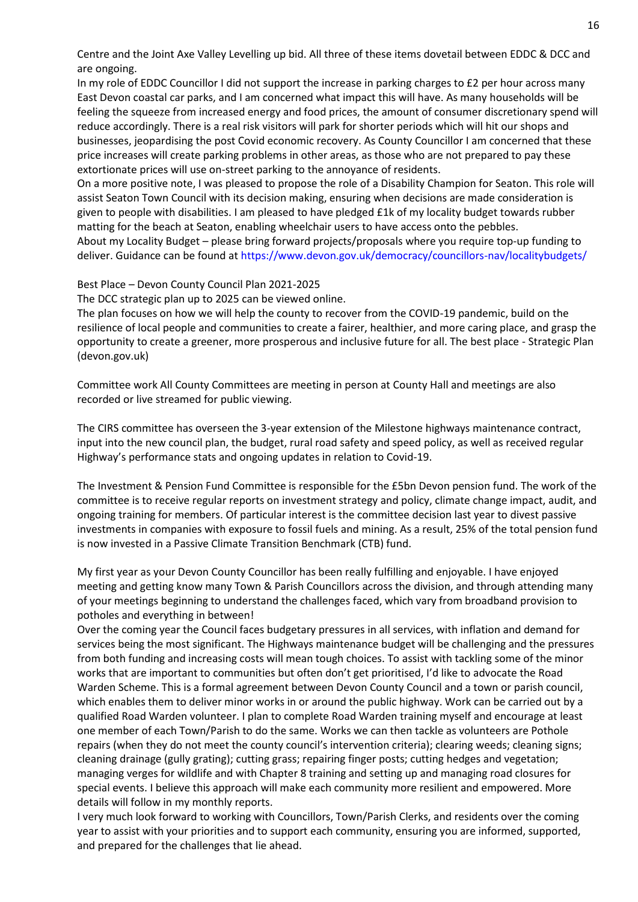Centre and the Joint Axe Valley Levelling up bid. All three of these items dovetail between EDDC & DCC and are ongoing.

In my role of EDDC Councillor I did not support the increase in parking charges to £2 per hour across many East Devon coastal car parks, and I am concerned what impact this will have. As many households will be feeling the squeeze from increased energy and food prices, the amount of consumer discretionary spend will reduce accordingly. There is a real risk visitors will park for shorter periods which will hit our shops and businesses, jeopardising the post Covid economic recovery. As County Councillor I am concerned that these price increases will create parking problems in other areas, as those who are not prepared to pay these extortionate prices will use on-street parking to the annoyance of residents.

On a more positive note, I was pleased to propose the role of a Disability Champion for Seaton. This role will assist Seaton Town Council with its decision making, ensuring when decisions are made consideration is given to people with disabilities. I am pleased to have pledged £1k of my locality budget towards rubber matting for the beach at Seaton, enabling wheelchair users to have access onto the pebbles.

About my Locality Budget – please bring forward projects/proposals where you require top-up funding to deliver. Guidance can be found at<https://www.devon.gov.uk/democracy/councillors-nav/localitybudgets/>

#### Best Place – Devon County Council Plan 2021-2025

The DCC strategic plan up to 2025 can be viewed online.

The plan focuses on how we will help the county to recover from the COVID-19 pandemic, build on the resilience of local people and communities to create a fairer, healthier, and more caring place, and grasp the opportunity to create a greener, more prosperous and inclusive future for all. The best place - Strategic Plan (devon.gov.uk)

Committee work All County Committees are meeting in person at County Hall and meetings are also recorded or live streamed for public viewing.

The CIRS committee has overseen the 3-year extension of the Milestone highways maintenance contract, input into the new council plan, the budget, rural road safety and speed policy, as well as received regular Highway's performance stats and ongoing updates in relation to Covid-19.

The Investment & Pension Fund Committee is responsible for the £5bn Devon pension fund. The work of the committee is to receive regular reports on investment strategy and policy, climate change impact, audit, and ongoing training for members. Of particular interest is the committee decision last year to divest passive investments in companies with exposure to fossil fuels and mining. As a result, 25% of the total pension fund is now invested in a Passive Climate Transition Benchmark (CTB) fund.

My first year as your Devon County Councillor has been really fulfilling and enjoyable. I have enjoyed meeting and getting know many Town & Parish Councillors across the division, and through attending many of your meetings beginning to understand the challenges faced, which vary from broadband provision to potholes and everything in between!

Over the coming year the Council faces budgetary pressures in all services, with inflation and demand for services being the most significant. The Highways maintenance budget will be challenging and the pressures from both funding and increasing costs will mean tough choices. To assist with tackling some of the minor works that are important to communities but often don't get prioritised, I'd like to advocate the Road Warden Scheme. This is a formal agreement between Devon County Council and a town or parish council, which enables them to deliver minor works in or around the public highway. Work can be carried out by a qualified Road Warden volunteer. I plan to complete Road Warden training myself and encourage at least one member of each Town/Parish to do the same. Works we can then tackle as volunteers are Pothole repairs (when they do not meet the county council's intervention criteria); clearing weeds; cleaning signs; cleaning drainage (gully grating); cutting grass; repairing finger posts; cutting hedges and vegetation; managing verges for wildlife and with Chapter 8 training and setting up and managing road closures for special events. I believe this approach will make each community more resilient and empowered. More details will follow in my monthly reports.

I very much look forward to working with Councillors, Town/Parish Clerks, and residents over the coming year to assist with your priorities and to support each community, ensuring you are informed, supported, and prepared for the challenges that lie ahead.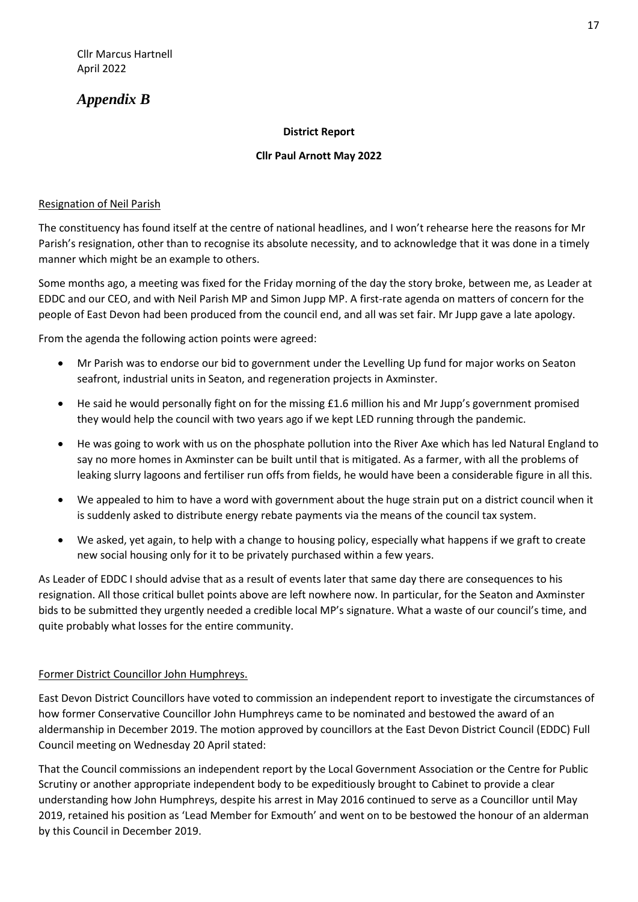# *Appendix B*

# **District Report**

# **Cllr Paul Arnott May 2022**

# Resignation of Neil Parish

The constituency has found itself at the centre of national headlines, and I won't rehearse here the reasons for Mr Parish's resignation, other than to recognise its absolute necessity, and to acknowledge that it was done in a timely manner which might be an example to others.

Some months ago, a meeting was fixed for the Friday morning of the day the story broke, between me, as Leader at EDDC and our CEO, and with Neil Parish MP and Simon Jupp MP. A first-rate agenda on matters of concern for the people of East Devon had been produced from the council end, and all was set fair. Mr Jupp gave a late apology.

From the agenda the following action points were agreed:

- Mr Parish was to endorse our bid to government under the Levelling Up fund for major works on Seaton seafront, industrial units in Seaton, and regeneration projects in Axminster.
- He said he would personally fight on for the missing £1.6 million his and Mr Jupp's government promised they would help the council with two years ago if we kept LED running through the pandemic.
- He was going to work with us on the phosphate pollution into the River Axe which has led Natural England to say no more homes in Axminster can be built until that is mitigated. As a farmer, with all the problems of leaking slurry lagoons and fertiliser run offs from fields, he would have been a considerable figure in all this.
- We appealed to him to have a word with government about the huge strain put on a district council when it is suddenly asked to distribute energy rebate payments via the means of the council tax system.
- We asked, yet again, to help with a change to housing policy, especially what happens if we graft to create new social housing only for it to be privately purchased within a few years.

As Leader of EDDC I should advise that as a result of events later that same day there are consequences to his resignation. All those critical bullet points above are left nowhere now. In particular, for the Seaton and Axminster bids to be submitted they urgently needed a credible local MP's signature. What a waste of our council's time, and quite probably what losses for the entire community.

# Former District Councillor John Humphreys.

East Devon District Councillors have voted to commission an independent report to investigate the circumstances of how former Conservative Councillor John Humphreys came to be nominated and bestowed the award of an aldermanship in December 2019. The motion approved by councillors at the East Devon District Council (EDDC) Full Council meeting on Wednesday 20 April stated:

That the Council commissions an independent report by the Local Government Association or the Centre for Public Scrutiny or another appropriate independent body to be expeditiously brought to Cabinet to provide a clear understanding how John Humphreys, despite his arrest in May 2016 continued to serve as a Councillor until May 2019, retained his position as 'Lead Member for Exmouth' and went on to be bestowed the honour of an alderman by this Council in December 2019.